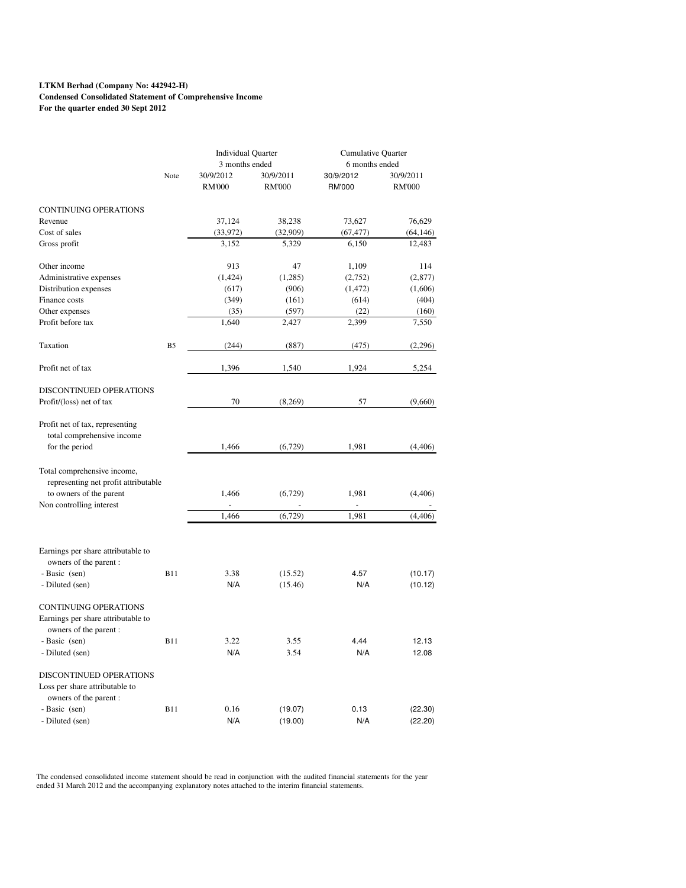#### **LTKM Berhad (Company No: 442942-H) Condensed Consolidated Statement of Comprehensive Income For the quarter ended 30 Sept 2012**

|                                      |                | <b>Individual Quarter</b>  |                            | <b>Cumulative Quarter</b><br>6 months ended |                            |
|--------------------------------------|----------------|----------------------------|----------------------------|---------------------------------------------|----------------------------|
|                                      |                | 3 months ended             |                            |                                             |                            |
|                                      | Note           | 30/9/2012<br><b>RM'000</b> | 30/9/2011<br><b>RM'000</b> | 30/9/2012<br><b>RM'000</b>                  | 30/9/2011<br><b>RM'000</b> |
| CONTINUING OPERATIONS                |                |                            |                            |                                             |                            |
| Revenue                              |                | 37,124                     | 38,238                     | 73,627                                      | 76,629                     |
| Cost of sales                        |                | (33, 972)                  | (32,909)                   | (67, 477)                                   | (64, 146)                  |
| Gross profit                         |                | 3,152                      | 5,329                      | 6,150                                       | 12,483                     |
| Other income                         |                | 913                        | 47                         | 1,109                                       | 114                        |
| Administrative expenses              |                | (1, 424)                   | (1,285)                    | (2,752)                                     | (2,877)                    |
| Distribution expenses                |                | (617)                      | (906)                      | (1, 472)                                    | (1,606)                    |
| Finance costs                        |                | (349)                      | (161)                      | (614)                                       | (404)                      |
| Other expenses                       |                | (35)                       | (597)                      | (22)                                        | (160)                      |
| Profit before tax                    |                | 1,640                      | 2,427                      | 2,399                                       | 7,550                      |
| Taxation                             | B <sub>5</sub> | (244)                      | (887)                      | (475)                                       | (2,296)                    |
| Profit net of tax                    |                | 1,396                      | 1,540                      | 1,924                                       | 5,254                      |
| DISCONTINUED OPERATIONS              |                |                            |                            |                                             |                            |
| Profit/(loss) net of tax             |                | 70                         | (8,269)                    | 57                                          | (9,660)                    |
| Profit net of tax, representing      |                |                            |                            |                                             |                            |
| total comprehensive income           |                |                            |                            |                                             |                            |
| for the period                       |                | 1,466                      | (6,729)                    | 1,981                                       | (4, 406)                   |
| Total comprehensive income,          |                |                            |                            |                                             |                            |
| representing net profit attributable |                |                            |                            |                                             |                            |
| to owners of the parent              |                | 1,466                      | (6, 729)                   | 1,981                                       | (4, 406)                   |
| Non controlling interest             |                | L.                         |                            | L.                                          |                            |
|                                      |                | 1,466                      | (6,729)                    | 1,981                                       | (4, 406)                   |
| Earnings per share attributable to   |                |                            |                            |                                             |                            |
| owners of the parent:                |                |                            |                            |                                             |                            |
| - Basic (sen)                        | <b>B11</b>     | 3.38                       | (15.52)                    | 4.57                                        | (10.17)                    |
| - Diluted (sen)                      |                | N/A                        | (15.46)                    | N/A                                         | (10.12)                    |
| <b>CONTINUING OPERATIONS</b>         |                |                            |                            |                                             |                            |
| Earnings per share attributable to   |                |                            |                            |                                             |                            |
| owners of the parent:                |                |                            |                            |                                             |                            |
| - Basic (sen)                        | <b>B11</b>     | 3.22                       | 3.55                       | 4.44                                        | 12.13                      |
| - Diluted (sen)                      |                | N/A                        | 3.54                       | N/A                                         | 12.08                      |
| DISCONTINUED OPERATIONS              |                |                            |                            |                                             |                            |
| Loss per share attributable to       |                |                            |                            |                                             |                            |
| owners of the parent :               |                |                            |                            |                                             |                            |
| - Basic (sen)                        | <b>B11</b>     | 0.16                       | (19.07)                    | 0.13                                        | (22.30)                    |
| - Diluted (sen)                      |                | N/A                        | (19.00)                    | N/A                                         | (22.20)                    |

The condensed consolidated income statement should be read in conjunction with the audited financial statements for the year<br>ended 31 March 2012 and the accompanying explanatory notes attached to the interim financial stat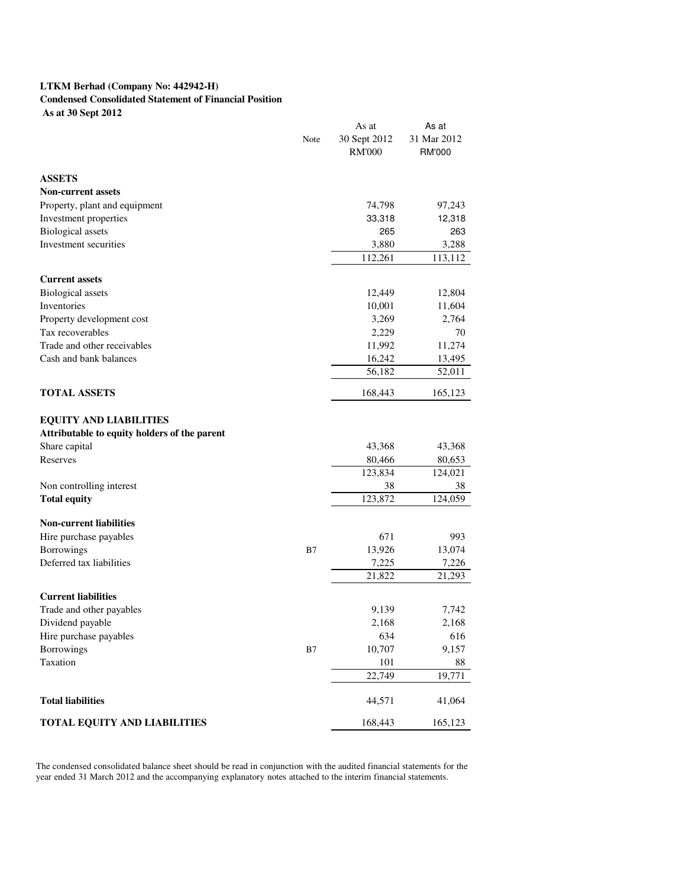# **LTKM Berhad (Company No: 442942-H)**

# **Condensed Consolidated Statement of Financial Position**

 **As at 30 Sept 2012**

|                                              |      | As at         | As at         |
|----------------------------------------------|------|---------------|---------------|
|                                              | Note | 30 Sept 2012  | 31 Mar 2012   |
|                                              |      | <b>RM'000</b> | <b>RM'000</b> |
| <b>ASSETS</b>                                |      |               |               |
| <b>Non-current assets</b>                    |      |               |               |
| Property, plant and equipment                |      | 74,798        | 97,243        |
| Investment properties                        |      | 33,318        | 12,318        |
| <b>Biological</b> assets                     |      | 265           | 263           |
| Investment securities                        |      | 3,880         | 3,288         |
|                                              |      | 112,261       | 113,112       |
| <b>Current assets</b>                        |      |               |               |
| <b>Biological</b> assets                     |      | 12,449        | 12,804        |
| Inventories                                  |      | 10,001        | 11,604        |
| Property development cost                    |      | 3,269         | 2,764         |
| Tax recoverables                             |      | 2,229         | 70            |
| Trade and other receivables                  |      | 11,992        | 11,274        |
| Cash and bank balances                       |      | 16,242        | 13,495        |
|                                              |      | 56,182        | 52,011        |
| <b>TOTAL ASSETS</b>                          |      | 168,443       | 165,123       |
| <b>EQUITY AND LIABILITIES</b>                |      |               |               |
| Attributable to equity holders of the parent |      |               |               |
| Share capital                                |      | 43,368        | 43,368        |
| Reserves                                     |      | 80,466        | 80,653        |
|                                              |      | 123,834       | 124,021       |
| Non controlling interest                     |      | 38            | 38            |
| <b>Total equity</b>                          |      | 123,872       | 124,059       |
| <b>Non-current liabilities</b>               |      |               |               |
| Hire purchase payables                       |      | 671           | 993           |
| Borrowings                                   | B7   | 13,926        | 13,074        |
| Deferred tax liabilities                     |      | 7,225         | 7,226         |
|                                              |      | 21,822        | 21,293        |
| <b>Current liabilities</b>                   |      |               |               |
| Trade and other payables                     |      | 9,139         | 7,742         |
| Dividend payable                             |      | 2,168         | 2,168         |
| Hire purchase payables                       |      | 634           | 616           |
| Borrowings                                   | B7   | 10,707        | 9,157         |
| Taxation                                     |      | 101           | 88            |
|                                              |      | 22,749        | 19,771        |
| <b>Total liabilities</b>                     |      | 44,571        | 41,064        |
| TOTAL EQUITY AND LIABILITIES                 |      | 168,443       | 165,123       |

The condensed consolidated balance sheet should be read in conjunction with the audited financial statements for the year ended 31 March 2012 and the accompanying explanatory notes attached to the interim financial statements.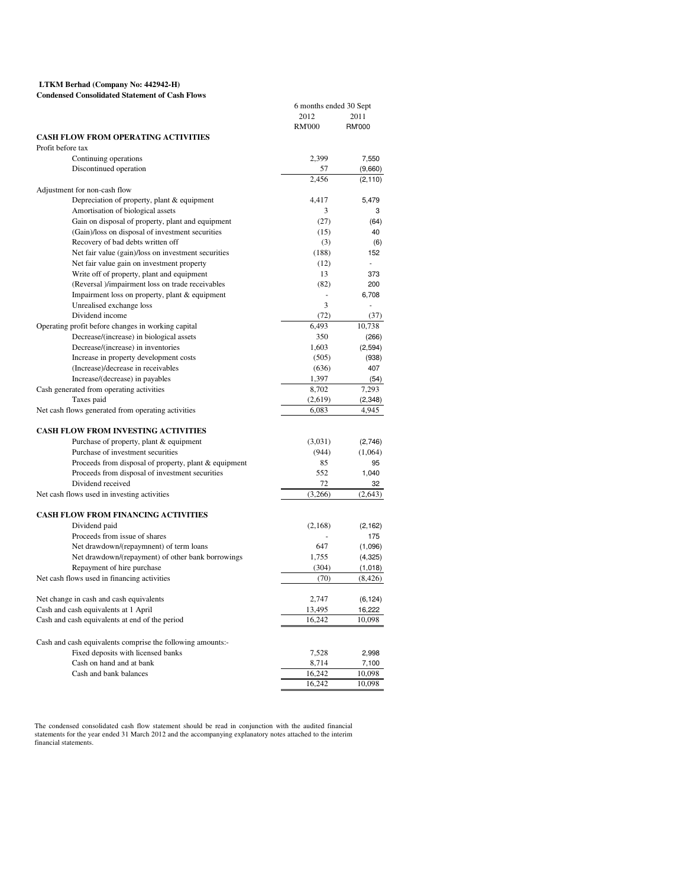#### **LTKM Berhad (Company No: 442942-H) Condensed Consolidated Statement of Cash Flows**

|                                                            | 6 months ended 30 Sept |               |
|------------------------------------------------------------|------------------------|---------------|
|                                                            | 2012                   | 2011          |
|                                                            | <b>RM'000</b>          | <b>RM'000</b> |
| <b>CASH FLOW FROM OPERATING ACTIVITIES</b>                 |                        |               |
| Profit before tax                                          |                        |               |
| Continuing operations                                      | 2,399                  | 7,550         |
| Discontinued operation                                     | 57                     | (9,660)       |
|                                                            | 2,456                  | (2, 110)      |
| Adjustment for non-cash flow                               |                        |               |
| Depreciation of property, plant & equipment                | 4,417                  | 5,479         |
| Amortisation of biological assets                          | 3                      | 3             |
| Gain on disposal of property, plant and equipment          | (27)                   | (64)          |
| (Gain)/loss on disposal of investment securities           | (15)                   | 40            |
| Recovery of bad debts written off                          | (3)                    | (6)           |
|                                                            | (188)                  | 152           |
| Net fair value (gain)/loss on investment securities        |                        |               |
| Net fair value gain on investment property                 | (12)                   |               |
| Write off of property, plant and equipment                 | 13                     | 373           |
| (Reversal )/impairment loss on trade receivables           | (82)                   | 200           |
| Impairment loss on property, plant & equipment             | $\bar{a}$              | 6,708         |
| Unrealised exchange loss                                   | 3                      |               |
| Dividend income                                            | (72)                   | (37)          |
| Operating profit before changes in working capital         | 6,493                  | 10,738        |
| Decrease/(increase) in biological assets                   | 350                    | (266)         |
| Decrease/(increase) in inventories                         | 1,603                  | (2, 594)      |
| Increase in property development costs                     | (505)                  | (938)         |
| (Increase)/decrease in receivables                         | (636)                  | 407           |
| Increase/(decrease) in payables                            | 1,397                  | (54)          |
| Cash generated from operating activities                   | 8,702                  | 7,293         |
| Taxes paid                                                 | (2,619)                | (2, 348)      |
| Net cash flows generated from operating activities         | 6,083                  | 4,945         |
|                                                            |                        |               |
| <b>CASH FLOW FROM INVESTING ACTIVITIES</b>                 |                        |               |
| Purchase of property, plant & equipment                    | (3,031)                | (2,746)       |
| Purchase of investment securities                          | (944)                  | (1,064)       |
| Proceeds from disposal of property, plant & equipment      | 85                     | 95            |
| Proceeds from disposal of investment securities            | 552                    | 1,040         |
| Dividend received                                          | 72                     | 32            |
| Net cash flows used in investing activities                | (3,266)                | (2,643)       |
|                                                            |                        |               |
| <b>CASH FLOW FROM FINANCING ACTIVITIES</b>                 |                        |               |
| Dividend paid                                              | (2,168)                | (2, 162)      |
| Proceeds from issue of shares                              |                        | 175           |
| Net drawdown/(repaymnent) of term loans                    | 647                    | (1,096)       |
| Net drawdown/(repayment) of other bank borrowings          | 1,755                  | (4, 325)      |
| Repayment of hire purchase                                 | (304)                  | (1,018)       |
| Net cash flows used in financing activities                | (70)                   | (8, 426)      |
|                                                            |                        |               |
| Net change in cash and cash equivalents                    | 2,747                  | (6, 124)      |
| Cash and cash equivalents at 1 April                       | 13,495                 | 16,222        |
| Cash and cash equivalents at end of the period             | 16,242                 | 10,098        |
|                                                            |                        |               |
| Cash and cash equivalents comprise the following amounts:- |                        |               |
| Fixed deposits with licensed banks                         | 7,528                  | 2,998         |
| Cash on hand and at bank                                   | 8,714                  | 7,100         |
| Cash and bank balances                                     | 16,242                 | 10,098        |
|                                                            | 16,242                 | 10,098        |
|                                                            |                        |               |

The condensed consolidated cash flow statement should be read in conjunction with the audited financial<br>statements for the year ended 31 March 2012 and the accompanying explanatory notes attached to the interim<br>financial s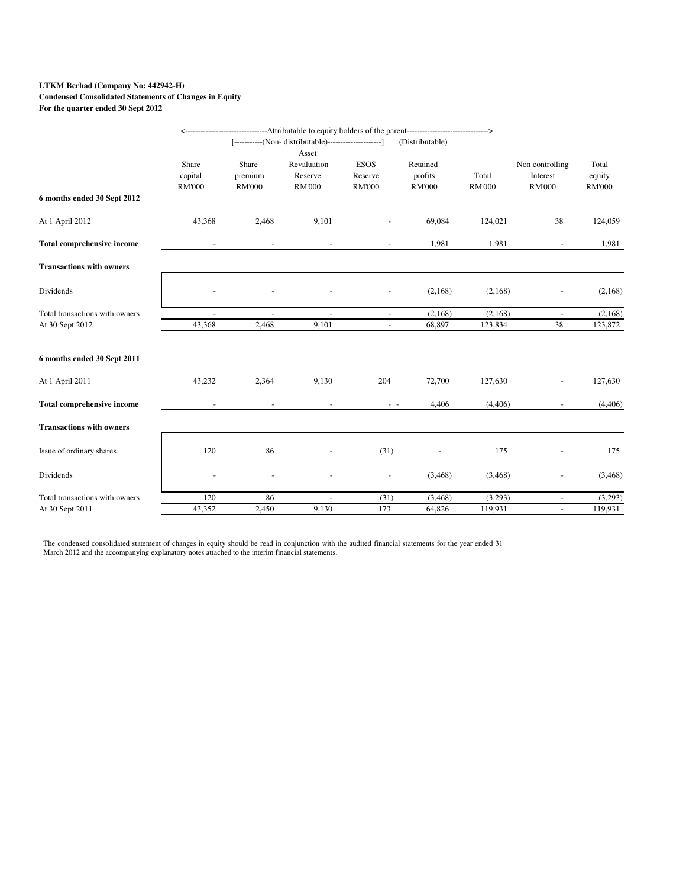## **LTKM Berhad (Company No: 442942-H)**

# **Condensed Consolidated Statements of Changes in Equity**

**For the quarter ended 30 Sept 2012**

|                                   |               |               |                                                          |                          | ----------------------------------Attributable to equity holders of the parent--------------------------------> |               |                     |               |
|-----------------------------------|---------------|---------------|----------------------------------------------------------|--------------------------|-----------------------------------------------------------------------------------------------------------------|---------------|---------------------|---------------|
|                                   |               |               | [------------(Non- distributable)----------------------] |                          | (Distributable)                                                                                                 |               |                     |               |
|                                   |               |               | Asset                                                    |                          |                                                                                                                 |               |                     |               |
|                                   | Share         | Share         | Revaluation                                              | <b>ESOS</b>              | Retained                                                                                                        |               | Non controlling     | Total         |
|                                   | capital       | premium       | Reserve                                                  | Reserve                  | profits                                                                                                         | Total         | Interest            | equity        |
|                                   | <b>RM'000</b> | <b>RM'000</b> | <b>RM'000</b>                                            | <b>RM'000</b>            | <b>RM'000</b>                                                                                                   | <b>RM'000</b> | <b>RM'000</b>       | <b>RM'000</b> |
| 6 months ended 30 Sept 2012       |               |               |                                                          |                          |                                                                                                                 |               |                     |               |
| At 1 April 2012                   | 43,368        | 2,468         | 9,101                                                    |                          | 69,084                                                                                                          | 124,021       | 38                  | 124,059       |
| <b>Total comprehensive income</b> |               |               |                                                          |                          | 1,981                                                                                                           | 1,981         | $\blacksquare$      | 1,981         |
| <b>Transactions with owners</b>   |               |               |                                                          |                          |                                                                                                                 |               |                     |               |
| Dividends                         |               |               |                                                          |                          | (2,168)                                                                                                         | (2,168)       |                     | (2,168)       |
| Total transactions with owners    | $\sim$        |               | $\sim$                                                   | $\sim$                   | (2,168)                                                                                                         | (2,168)       | $\bar{\phantom{a}}$ | (2,168)       |
| At 30 Sept 2012                   | 43,368        | 2,468         | 9,101                                                    | $\overline{\phantom{a}}$ | 68,897                                                                                                          | 123,834       | 38                  | 123,872       |
| 6 months ended 30 Sept 2011       |               |               |                                                          |                          |                                                                                                                 |               |                     |               |
|                                   |               |               |                                                          |                          |                                                                                                                 |               |                     |               |
| At 1 April 2011                   | 43,232        | 2,364         | 9,130                                                    | 204                      | 72,700                                                                                                          | 127,630       |                     | 127,630       |
| <b>Total comprehensive income</b> |               |               |                                                          | $\sim$ $ \sim$           | 4,406                                                                                                           | (4,406)       |                     | (4,406)       |
| <b>Transactions with owners</b>   |               |               |                                                          |                          |                                                                                                                 |               |                     |               |
| Issue of ordinary shares          | 120           | 86            |                                                          | (31)                     |                                                                                                                 | 175           |                     | 175           |
| Dividends                         |               |               |                                                          | $\bar{\phantom{a}}$      | (3,468)                                                                                                         | (3,468)       |                     | (3,468)       |
| Total transactions with owners    | 120           | 86            | $\blacksquare$                                           | (31)                     | (3, 468)                                                                                                        | (3,293)       | $\blacksquare$      | (3,293)       |
| At 30 Sept 2011                   | 43,352        | 2,450         | 9,130                                                    | 173                      | 64,826                                                                                                          | 119,931       | $\omega$            | 119,931       |

The condensed consolidated statement of changes in equity should be read in conjunction with the audited financial statements for the year ended 31 March 2012 and the accompanying explanatory notes attached to the interim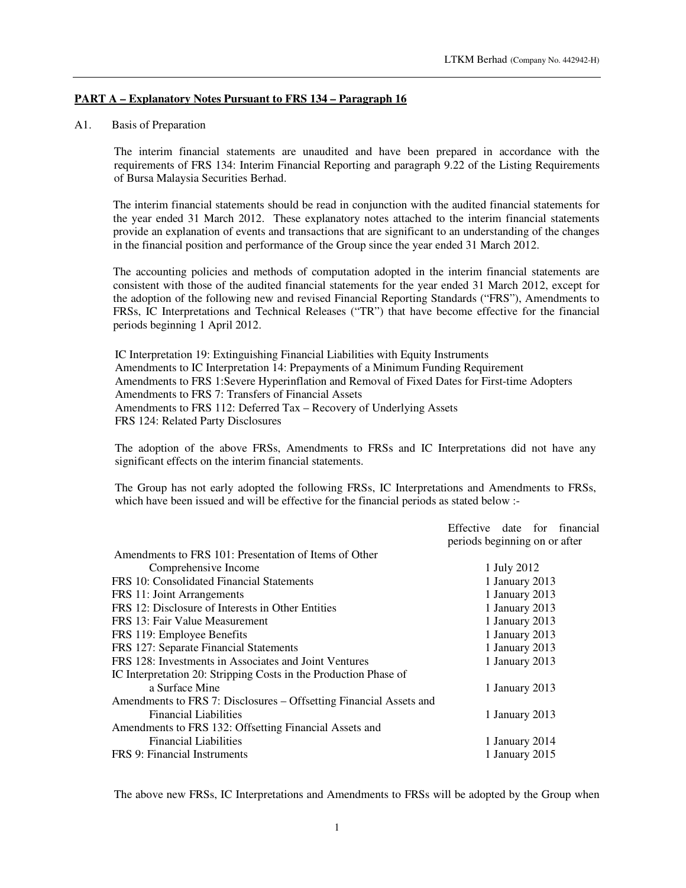## **PART A – Explanatory Notes Pursuant to FRS 134 – Paragraph 16**

#### A1. Basis of Preparation

The interim financial statements are unaudited and have been prepared in accordance with the requirements of FRS 134: Interim Financial Reporting and paragraph 9.22 of the Listing Requirements of Bursa Malaysia Securities Berhad.

The interim financial statements should be read in conjunction with the audited financial statements for the year ended 31 March 2012. These explanatory notes attached to the interim financial statements provide an explanation of events and transactions that are significant to an understanding of the changes in the financial position and performance of the Group since the year ended 31 March 2012.

The accounting policies and methods of computation adopted in the interim financial statements are consistent with those of the audited financial statements for the year ended 31 March 2012, except for the adoption of the following new and revised Financial Reporting Standards ("FRS"), Amendments to FRSs, IC Interpretations and Technical Releases ("TR") that have become effective for the financial periods beginning 1 April 2012.

IC Interpretation 19: Extinguishing Financial Liabilities with Equity Instruments Amendments to IC Interpretation 14: Prepayments of a Minimum Funding Requirement Amendments to FRS 1:Severe Hyperinflation and Removal of Fixed Dates for First-time Adopters Amendments to FRS 7: Transfers of Financial Assets Amendments to FRS 112: Deferred Tax – Recovery of Underlying Assets FRS 124: Related Party Disclosures

The adoption of the above FRSs, Amendments to FRSs and IC Interpretations did not have any significant effects on the interim financial statements.

The Group has not early adopted the following FRSs, IC Interpretations and Amendments to FRSs, which have been issued and will be effective for the financial periods as stated below :-

|                                                                    | Effective date for financial<br>periods beginning on or after |
|--------------------------------------------------------------------|---------------------------------------------------------------|
| Amendments to FRS 101: Presentation of Items of Other              |                                                               |
| Comprehensive Income                                               | 1 July 2012                                                   |
| FRS 10: Consolidated Financial Statements                          | 1 January 2013                                                |
| FRS 11: Joint Arrangements                                         | 1 January 2013                                                |
| FRS 12: Disclosure of Interests in Other Entities                  | 1 January 2013                                                |
| FRS 13: Fair Value Measurement                                     | 1 January 2013                                                |
| FRS 119: Employee Benefits                                         | 1 January 2013                                                |
| FRS 127: Separate Financial Statements                             | 1 January 2013                                                |
| FRS 128: Investments in Associates and Joint Ventures              | 1 January 2013                                                |
| IC Interpretation 20: Stripping Costs in the Production Phase of   |                                                               |
| a Surface Mine                                                     | 1 January 2013                                                |
| Amendments to FRS 7: Disclosures – Offsetting Financial Assets and |                                                               |
| <b>Financial Liabilities</b>                                       | 1 January 2013                                                |
| Amendments to FRS 132: Offsetting Financial Assets and             |                                                               |
| <b>Financial Liabilities</b>                                       | 1 January 2014                                                |
| FRS 9: Financial Instruments                                       | 1 January 2015                                                |
|                                                                    |                                                               |

The above new FRSs, IC Interpretations and Amendments to FRSs will be adopted by the Group when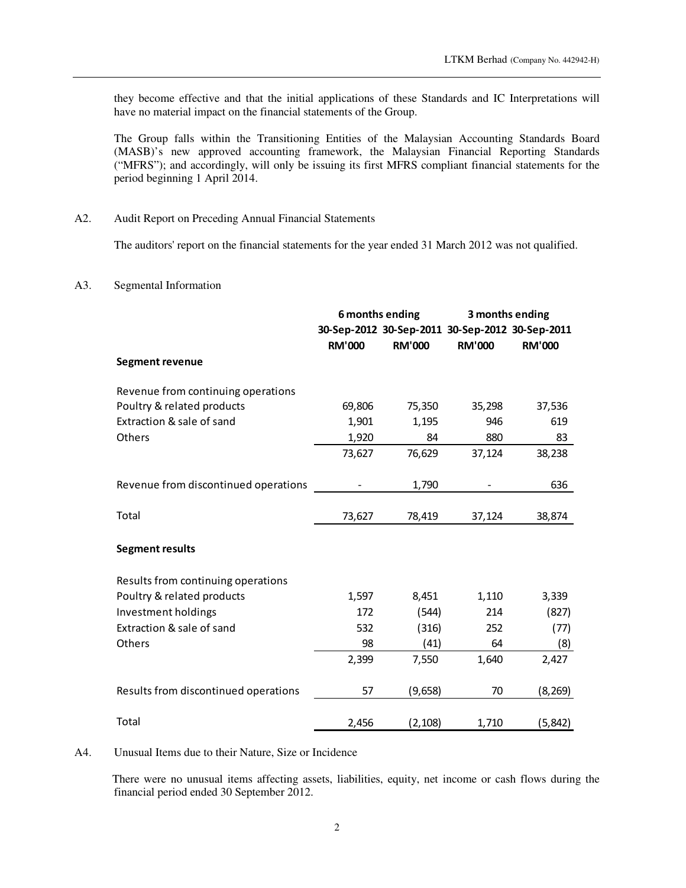they become effective and that the initial applications of these Standards and IC Interpretations will have no material impact on the financial statements of the Group.

 The Group falls within the Transitioning Entities of the Malaysian Accounting Standards Board (MASB)'s new approved accounting framework, the Malaysian Financial Reporting Standards ("MFRS"); and accordingly, will only be issuing its first MFRS compliant financial statements for the period beginning 1 April 2014.

## A2. Audit Report on Preceding Annual Financial Statements

The auditors' report on the financial statements for the year ended 31 March 2012 was not qualified.

#### A3. Segmental Information

|                                      | 6 months ending |               | 3 months ending                                 |               |
|--------------------------------------|-----------------|---------------|-------------------------------------------------|---------------|
|                                      |                 |               | 30-Sep-2012 30-Sep-2011 30-Sep-2012 30-Sep-2011 |               |
|                                      | <b>RM'000</b>   | <b>RM'000</b> | <b>RM'000</b>                                   | <b>RM'000</b> |
| <b>Segment revenue</b>               |                 |               |                                                 |               |
| Revenue from continuing operations   |                 |               |                                                 |               |
| Poultry & related products           | 69,806          | 75,350        | 35,298                                          | 37,536        |
| Extraction & sale of sand            | 1,901           | 1,195         | 946                                             | 619           |
| Others                               | 1,920           | 84            | 880                                             | 83            |
|                                      | 73,627          | 76,629        | 37,124                                          | 38,238        |
| Revenue from discontinued operations |                 | 1,790         |                                                 | 636           |
| Total                                | 73,627          | 78,419        | 37,124                                          | 38,874        |
| <b>Segment results</b>               |                 |               |                                                 |               |
| Results from continuing operations   |                 |               |                                                 |               |
| Poultry & related products           | 1,597           | 8,451         | 1,110                                           | 3,339         |
| Investment holdings                  | 172             | (544)         | 214                                             | (827)         |
| Extraction & sale of sand            | 532             | (316)         | 252                                             | (77)          |
| Others                               | 98              | (41)          | 64                                              | (8)           |
|                                      | 2,399           | 7,550         | 1,640                                           | 2,427         |
| Results from discontinued operations | 57              | (9,658)       | 70                                              | (8, 269)      |
| Total                                | 2,456           | (2, 108)      | 1,710                                           | (5, 842)      |

#### A4. Unusual Items due to their Nature, Size or Incidence

There were no unusual items affecting assets, liabilities, equity, net income or cash flows during the financial period ended 30 September 2012.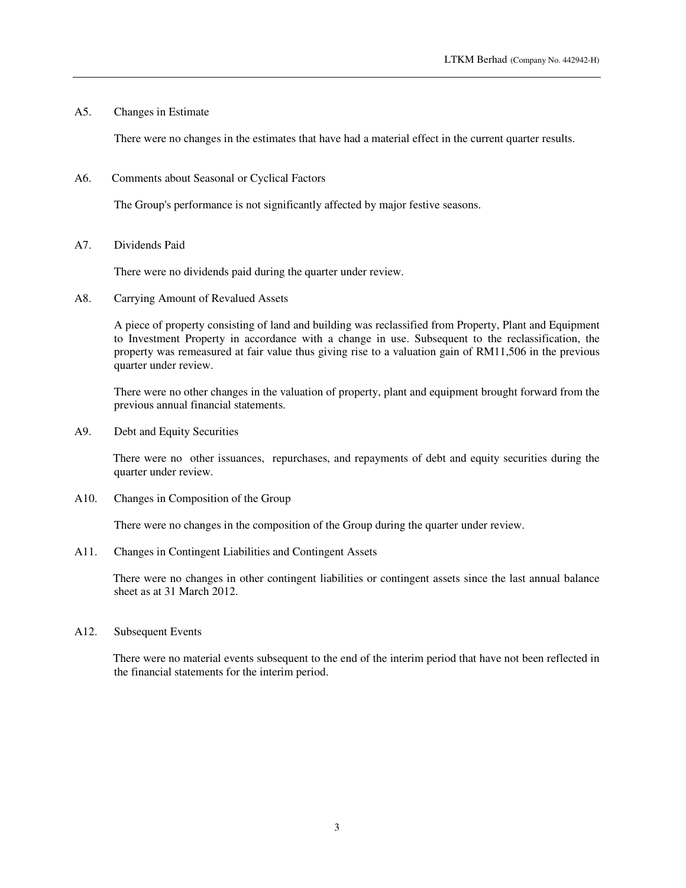A5. Changes in Estimate

There were no changes in the estimates that have had a material effect in the current quarter results.

A6. Comments about Seasonal or Cyclical Factors

The Group's performance is not significantly affected by major festive seasons.

A7. Dividends Paid

There were no dividends paid during the quarter under review.

A8. Carrying Amount of Revalued Assets

A piece of property consisting of land and building was reclassified from Property, Plant and Equipment to Investment Property in accordance with a change in use. Subsequent to the reclassification, the property was remeasured at fair value thus giving rise to a valuation gain of RM11,506 in the previous quarter under review.

There were no other changes in the valuation of property, plant and equipment brought forward from the previous annual financial statements.

A9. Debt and Equity Securities

There were no other issuances, repurchases, and repayments of debt and equity securities during the quarter under review.

A10. Changes in Composition of the Group

There were no changes in the composition of the Group during the quarter under review.

A11. Changes in Contingent Liabilities and Contingent Assets

There were no changes in other contingent liabilities or contingent assets since the last annual balance sheet as at 31 March 2012.

A12. Subsequent Events

There were no material events subsequent to the end of the interim period that have not been reflected in the financial statements for the interim period.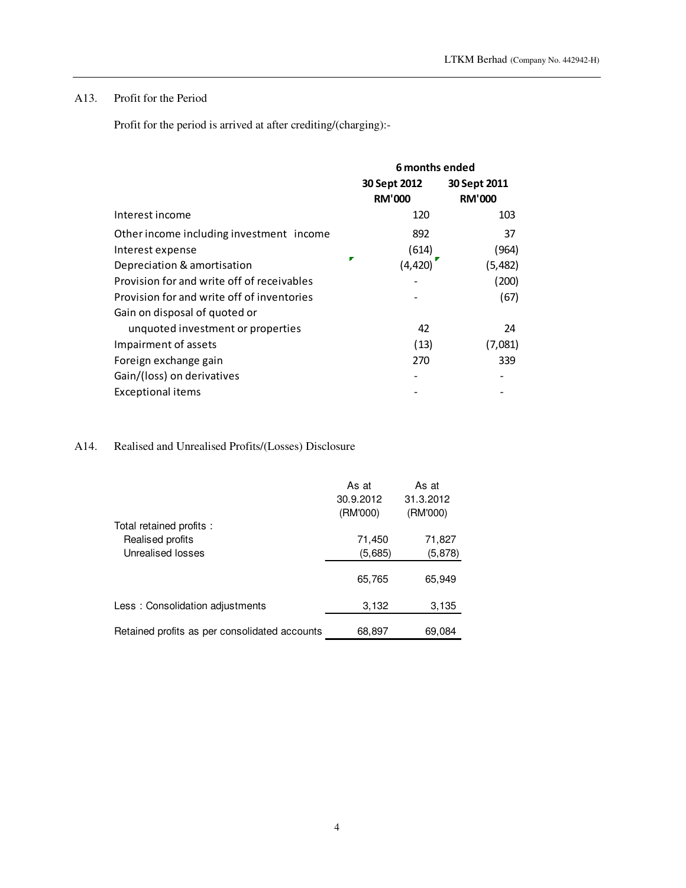## A13. Profit for the Period

Profit for the period is arrived at after crediting/(charging):-

|                                            | 6 months ended |               |  |
|--------------------------------------------|----------------|---------------|--|
|                                            | 30 Sept 2012   | 30 Sept 2011  |  |
|                                            | <b>RM'000</b>  | <b>RM'000</b> |  |
| Interest income                            | 120            | 103           |  |
| Other income including investment income   | 892            | 37            |  |
| Interest expense                           | (614)          | (964)         |  |
| Depreciation & amortisation                | (4, 420)       | (5,482)       |  |
| Provision for and write off of receivables |                | (200)         |  |
| Provision for and write off of inventories |                | (67)          |  |
| Gain on disposal of quoted or              |                |               |  |
| unquoted investment or properties          | 42             | 24            |  |
| Impairment of assets                       | (13)           | (7,081)       |  |
| Foreign exchange gain                      | 270            | 339           |  |
| Gain/(loss) on derivatives                 |                |               |  |
| <b>Exceptional items</b>                   |                |               |  |
|                                            |                |               |  |

# A14. Realised and Unrealised Profits/(Losses) Disclosure

| Total retained profits :                      | As at<br>30.9.2012<br>(RM'000) | As at<br>31.3.2012<br>(RM'000) |
|-----------------------------------------------|--------------------------------|--------------------------------|
| Realised profits<br>Unrealised losses         | 71,450<br>(5,685)              | 71,827<br>(5, 878)             |
|                                               | 65,765                         | 65,949                         |
| Less: Consolidation adjustments               | 3,132                          | 3,135                          |
| Retained profits as per consolidated accounts | 68,897                         | 69,084                         |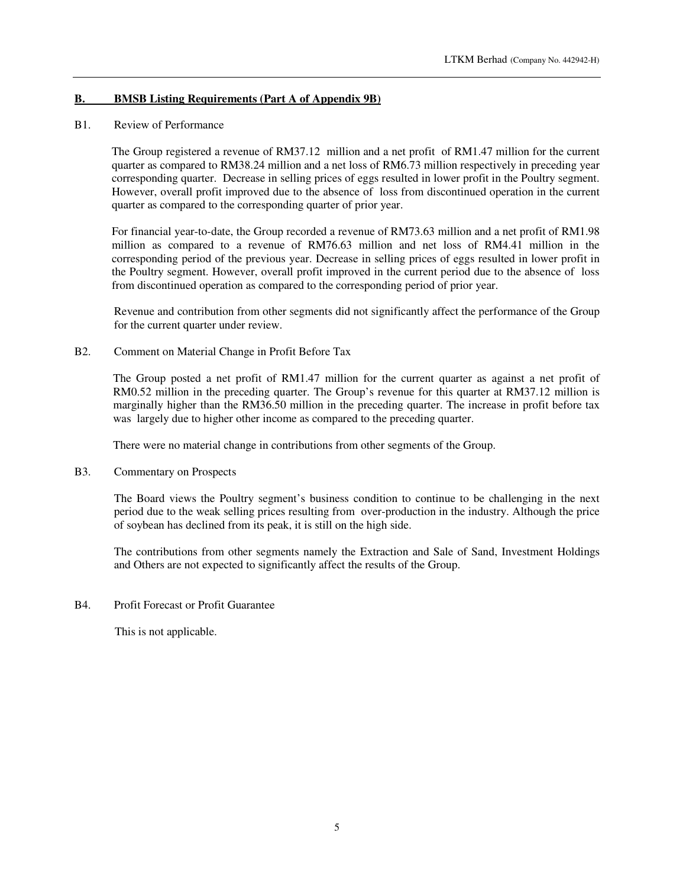## **B. BMSB Listing Requirements (Part A of Appendix 9B)**

#### B1. Review of Performance

The Group registered a revenue of RM37.12 million and a net profit of RM1.47 million for the current quarter as compared to RM38.24 million and a net loss of RM6.73 million respectively in preceding year corresponding quarter. Decrease in selling prices of eggs resulted in lower profit in the Poultry segment. However, overall profit improved due to the absence of loss from discontinued operation in the current quarter as compared to the corresponding quarter of prior year.

For financial year-to-date, the Group recorded a revenue of RM73.63 million and a net profit of RM1.98 million as compared to a revenue of RM76.63 million and net loss of RM4.41 million in the corresponding period of the previous year. Decrease in selling prices of eggs resulted in lower profit in the Poultry segment. However, overall profit improved in the current period due to the absence of loss from discontinued operation as compared to the corresponding period of prior year.

Revenue and contribution from other segments did not significantly affect the performance of the Group for the current quarter under review.

#### B2. Comment on Material Change in Profit Before Tax

The Group posted a net profit of RM1.47 million for the current quarter as against a net profit of RM0.52 million in the preceding quarter. The Group's revenue for this quarter at RM37.12 million is marginally higher than the RM36.50 million in the preceding quarter. The increase in profit before tax was largely due to higher other income as compared to the preceding quarter.

There were no material change in contributions from other segments of the Group.

#### B3. Commentary on Prospects

The Board views the Poultry segment's business condition to continue to be challenging in the next period due to the weak selling prices resulting from over-production in the industry. Although the price of soybean has declined from its peak, it is still on the high side.

The contributions from other segments namely the Extraction and Sale of Sand, Investment Holdings and Others are not expected to significantly affect the results of the Group.

#### B4. Profit Forecast or Profit Guarantee

This is not applicable.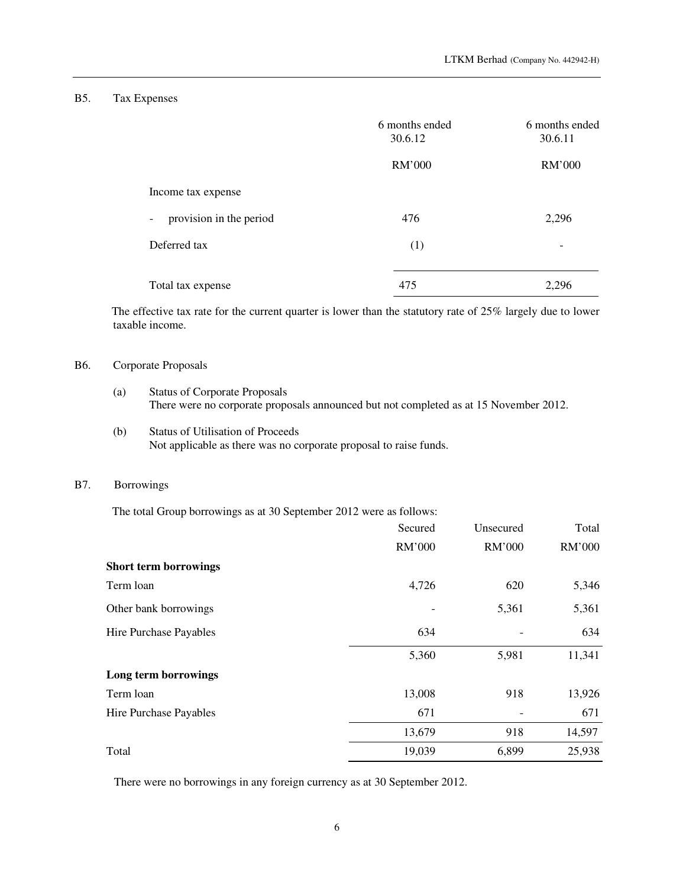## B5. Tax Expenses

|                                   | 6 months ended<br>30.6.12 | 6 months ended<br>30.6.11 |
|-----------------------------------|---------------------------|---------------------------|
|                                   | RM'000                    | RM'000                    |
| Income tax expense                |                           |                           |
| provision in the period<br>$\sim$ | 476                       | 2,296                     |
| Deferred tax                      | (1)                       | -                         |
| Total tax expense                 | 475                       | 2,296                     |

The effective tax rate for the current quarter is lower than the statutory rate of 25% largely due to lower taxable income.

## B6. Corporate Proposals

- (a) Status of Corporate Proposals There were no corporate proposals announced but not completed as at 15 November 2012.
- (b) Status of Utilisation of Proceeds Not applicable as there was no corporate proposal to raise funds.

## B7. Borrowings

The total Group borrowings as at 30 September 2012 were as follows:

| Secured | Unsecured | Total  |
|---------|-----------|--------|
| RM'000  | RM'000    | RM'000 |
|         |           |        |
| 4,726   | 620       | 5,346  |
|         | 5,361     | 5,361  |
| 634     |           | 634    |
| 5,360   | 5,981     | 11,341 |
|         |           |        |
| 13,008  | 918       | 13,926 |
| 671     |           | 671    |
| 13,679  | 918       | 14,597 |
| 19,039  | 6,899     | 25,938 |
|         |           |        |

There were no borrowings in any foreign currency as at 30 September 2012.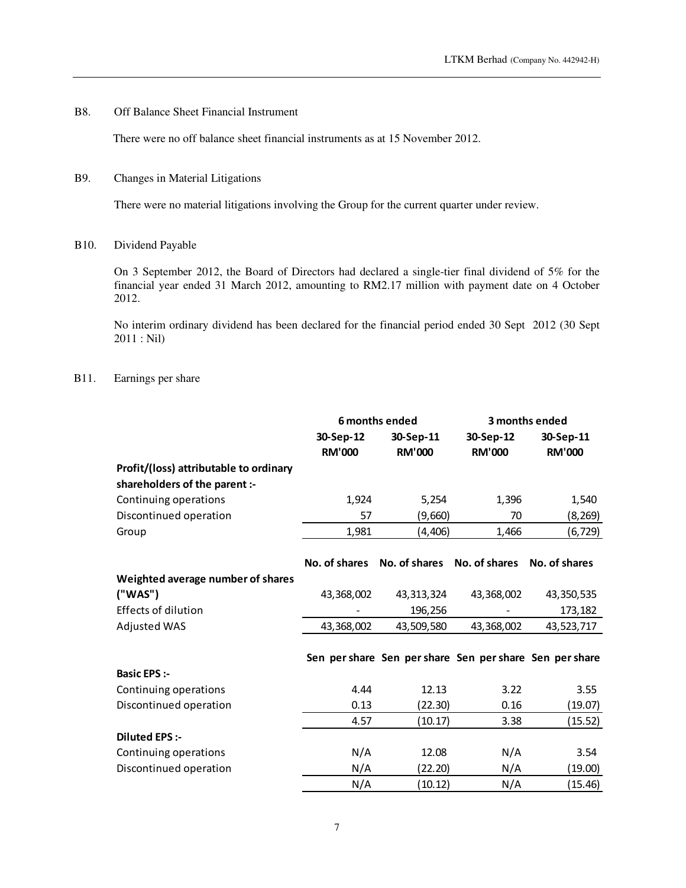## B8. Off Balance Sheet Financial Instrument

There were no off balance sheet financial instruments as at 15 November 2012.

## B9. Changes in Material Litigations

There were no material litigations involving the Group for the current quarter under review.

#### B10. Dividend Payable

On 3 September 2012, the Board of Directors had declared a single-tier final dividend of 5% for the financial year ended 31 March 2012, amounting to RM2.17 million with payment date on 4 October 2012.

No interim ordinary dividend has been declared for the financial period ended 30 Sept 2012 (30 Sept 2011 : Nil)

#### B11. Earnings per share

|                                        | 6 months ended |               |               | 3 months ended                                          |
|----------------------------------------|----------------|---------------|---------------|---------------------------------------------------------|
|                                        | 30-Sep-12      | 30-Sep-11     | 30-Sep-12     | 30-Sep-11                                               |
|                                        | <b>RM'000</b>  | <b>RM'000</b> | <b>RM'000</b> | <b>RM'000</b>                                           |
| Profit/(loss) attributable to ordinary |                |               |               |                                                         |
| shareholders of the parent :-          |                |               |               |                                                         |
| Continuing operations                  | 1,924          | 5,254         | 1,396         | 1,540                                                   |
| Discontinued operation                 | 57             | (9,660)       | 70            | (8,269)                                                 |
| Group                                  | 1,981          | (4, 406)      | 1,466         | (6,729)                                                 |
|                                        | No. of shares  | No. of shares | No. of shares | No. of shares                                           |
| Weighted average number of shares      |                |               |               |                                                         |
| ("WAS")                                | 43,368,002     | 43, 313, 324  | 43,368,002    | 43,350,535                                              |
| <b>Effects of dilution</b>             |                | 196,256       |               | 173,182                                                 |
| <b>Adjusted WAS</b>                    | 43,368,002     | 43,509,580    | 43,368,002    | 43,523,717                                              |
|                                        |                |               |               | Sen per share Sen per share Sen per share Sen per share |
| <b>Basic EPS :-</b>                    |                |               |               |                                                         |
| Continuing operations                  | 4.44           | 12.13         | 3.22          | 3.55                                                    |
| Discontinued operation                 | 0.13           | (22.30)       | 0.16          | (19.07)                                                 |
|                                        | 4.57           | (10.17)       | 3.38          | (15.52)                                                 |
| <b>Diluted EPS :-</b>                  |                |               |               |                                                         |
| Continuing operations                  | N/A            | 12.08         | N/A           | 3.54                                                    |
| Discontinued operation                 | N/A            | (22.20)       | N/A           | (19.00)                                                 |
|                                        | N/A            | (10.12)       | N/A           | (15.46)                                                 |